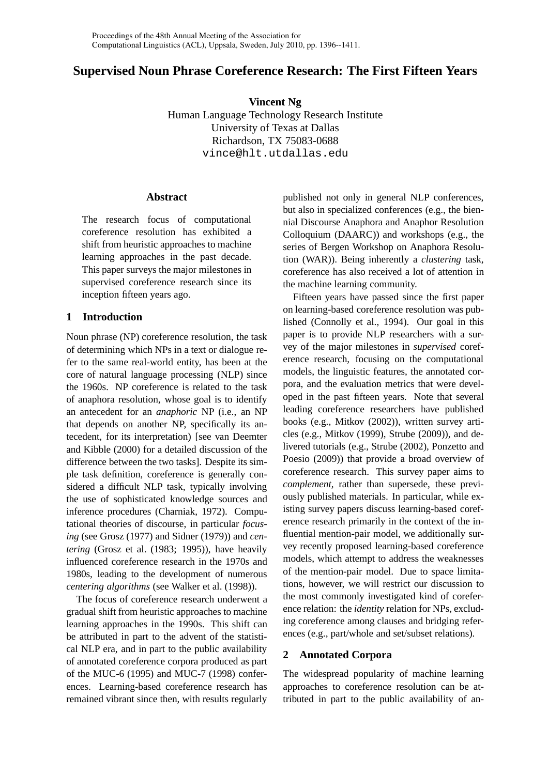# **Supervised Noun Phrase Coreference Research: The First Fifteen Years**

**Vincent Ng** Human Language Technology Research Institute University of Texas at Dallas Richardson, TX 75083-0688 vince@hlt.utdallas.edu

### **Abstract**

The research focus of computational coreference resolution has exhibited a shift from heuristic approaches to machine learning approaches in the past decade. This paper surveys the major milestones in supervised coreference research since its inception fifteen years ago.

## **1 Introduction**

Noun phrase (NP) coreference resolution, the task of determining which NPs in a text or dialogue refer to the same real-world entity, has been at the core of natural language processing (NLP) since the 1960s. NP coreference is related to the task of anaphora resolution, whose goal is to identify an antecedent for an *anaphoric* NP (i.e., an NP that depends on another NP, specifically its antecedent, for its interpretation) [see van Deemter and Kibble (2000) for a detailed discussion of the difference between the two tasks]. Despite its simple task definition, coreference is generally considered a difficult NLP task, typically involving the use of sophisticated knowledge sources and inference procedures (Charniak, 1972). Computational theories of discourse, in particular *focusing* (see Grosz (1977) and Sidner (1979)) and *centering* (Grosz et al. (1983; 1995)), have heavily influenced coreference research in the 1970s and 1980s, leading to the development of numerous *centering algorithms* (see Walker et al. (1998)).

The focus of coreference research underwent a gradual shift from heuristic approaches to machine learning approaches in the 1990s. This shift can be attributed in part to the advent of the statistical NLP era, and in part to the public availability of annotated coreference corpora produced as part of the MUC-6 (1995) and MUC-7 (1998) conferences. Learning-based coreference research has remained vibrant since then, with results regularly published not only in general NLP conferences, but also in specialized conferences (e.g., the biennial Discourse Anaphora and Anaphor Resolution Colloquium (DAARC)) and workshops (e.g., the series of Bergen Workshop on Anaphora Resolution (WAR)). Being inherently a *clustering* task, coreference has also received a lot of attention in the machine learning community.

Fifteen years have passed since the first paper on learning-based coreference resolution was published (Connolly et al., 1994). Our goal in this paper is to provide NLP researchers with a survey of the major milestones in *supervised* coreference research, focusing on the computational models, the linguistic features, the annotated corpora, and the evaluation metrics that were developed in the past fifteen years. Note that several leading coreference researchers have published books (e.g., Mitkov (2002)), written survey articles (e.g., Mitkov (1999), Strube (2009)), and delivered tutorials (e.g., Strube (2002), Ponzetto and Poesio (2009)) that provide a broad overview of coreference research. This survey paper aims to *complement*, rather than supersede, these previously published materials. In particular, while existing survey papers discuss learning-based coreference research primarily in the context of the influential mention-pair model, we additionally survey recently proposed learning-based coreference models, which attempt to address the weaknesses of the mention-pair model. Due to space limitations, however, we will restrict our discussion to the most commonly investigated kind of coreference relation: the *identity* relation for NPs, excluding coreference among clauses and bridging references (e.g., part/whole and set/subset relations).

## **2 Annotated Corpora**

The widespread popularity of machine learning approaches to coreference resolution can be attributed in part to the public availability of an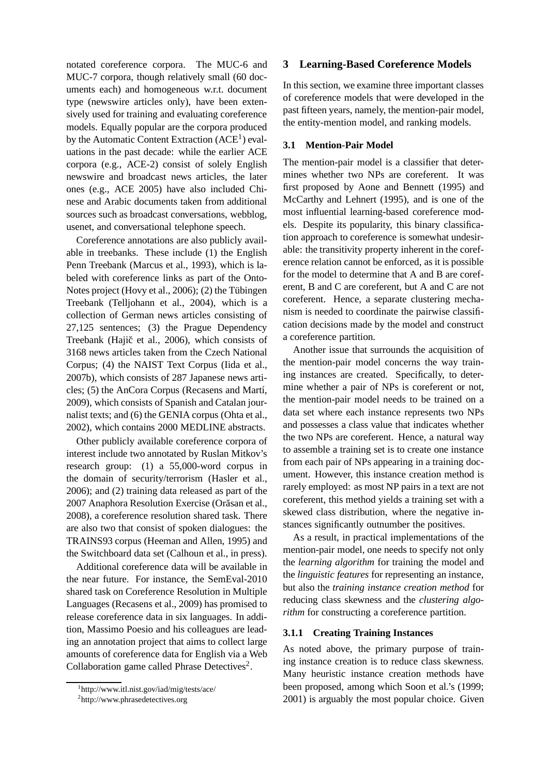notated coreference corpora. The MUC-6 and MUC-7 corpora, though relatively small (60 documents each) and homogeneous w.r.t. document type (newswire articles only), have been extensively used for training and evaluating coreference models. Equally popular are the corpora produced by the Automatic Content Extraction  $(ACE<sup>1</sup>)$  evaluations in the past decade: while the earlier ACE corpora (e.g., ACE-2) consist of solely English newswire and broadcast news articles, the later ones (e.g., ACE 2005) have also included Chinese and Arabic documents taken from additional sources such as broadcast conversations, webblog, usenet, and conversational telephone speech.

Coreference annotations are also publicly available in treebanks. These include (1) the English Penn Treebank (Marcus et al., 1993), which is labeled with coreference links as part of the Onto-Notes project (Hovy et al.,  $2006$ ); (2) the Tübingen Treebank (Telljohann et al., 2004), which is a collection of German news articles consisting of 27,125 sentences; (3) the Prague Dependency Treebank (Hajič et al., 2006), which consists of 3168 news articles taken from the Czech National Corpus; (4) the NAIST Text Corpus (Iida et al., 2007b), which consists of 287 Japanese news articles; (5) the AnCora Corpus (Recasens and Martí, 2009), which consists of Spanish and Catalan journalist texts; and (6) the GENIA corpus (Ohta et al., 2002), which contains 2000 MEDLINE abstracts.

Other publicly available coreference corpora of interest include two annotated by Ruslan Mitkov's research group: (1) a 55,000-word corpus in the domain of security/terrorism (Hasler et al., 2006); and (2) training data released as part of the 2007 Anaphora Resolution Exercise (Orăsan et al., 2008), a coreference resolution shared task. There are also two that consist of spoken dialogues: the TRAINS93 corpus (Heeman and Allen, 1995) and the Switchboard data set (Calhoun et al., in press).

Additional coreference data will be available in the near future. For instance, the SemEval-2010 shared task on Coreference Resolution in Multiple Languages (Recasens et al., 2009) has promised to release coreference data in six languages. In addition, Massimo Poesio and his colleagues are leading an annotation project that aims to collect large amounts of coreference data for English via a Web Collaboration game called Phrase Detectives $2$ .

## **3 Learning-Based Coreference Models**

In this section, we examine three important classes of coreference models that were developed in the past fifteen years, namely, the mention-pair model, the entity-mention model, and ranking models.

## **3.1 Mention-Pair Model**

The mention-pair model is a classifier that determines whether two NPs are coreferent. It was first proposed by Aone and Bennett (1995) and McCarthy and Lehnert (1995), and is one of the most influential learning-based coreference models. Despite its popularity, this binary classification approach to coreference is somewhat undesirable: the transitivity property inherent in the coreference relation cannot be enforced, as it is possible for the model to determine that A and B are coreferent, B and C are coreferent, but A and C are not coreferent. Hence, a separate clustering mechanism is needed to coordinate the pairwise classification decisions made by the model and construct a coreference partition.

Another issue that surrounds the acquisition of the mention-pair model concerns the way training instances are created. Specifically, to determine whether a pair of NPs is coreferent or not, the mention-pair model needs to be trained on a data set where each instance represents two NPs and possesses a class value that indicates whether the two NPs are coreferent. Hence, a natural way to assemble a training set is to create one instance from each pair of NPs appearing in a training document. However, this instance creation method is rarely employed: as most NP pairs in a text are not coreferent, this method yields a training set with a skewed class distribution, where the negative instances significantly outnumber the positives.

As a result, in practical implementations of the mention-pair model, one needs to specify not only the *learning algorithm* for training the model and the *linguistic features* for representing an instance, but also the *training instance creation method* for reducing class skewness and the *clustering algorithm* for constructing a coreference partition.

## **3.1.1 Creating Training Instances**

As noted above, the primary purpose of training instance creation is to reduce class skewness. Many heuristic instance creation methods have been proposed, among which Soon et al.'s (1999; 2001) is arguably the most popular choice. Given

<sup>1</sup> http://www.itl.nist.gov/iad/mig/tests/ace/

<sup>2</sup> http://www.phrasedetectives.org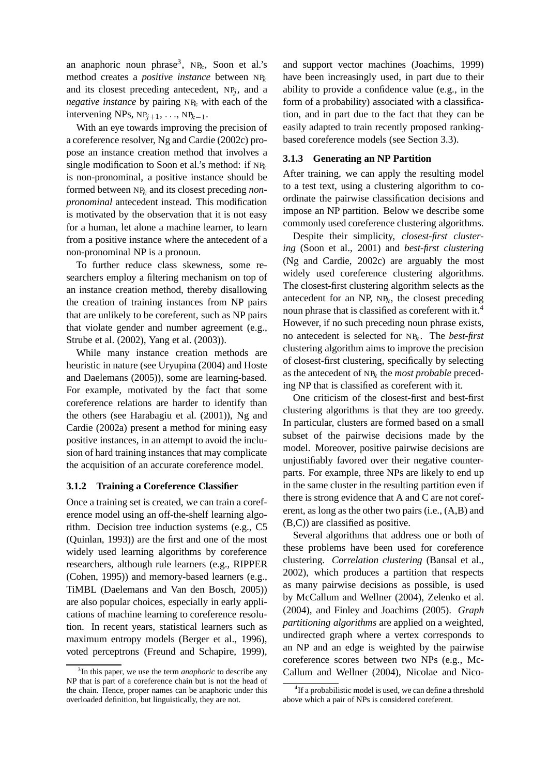an anaphoric noun phrase<sup>3</sup>, NP<sub>k</sub>, Soon et al.'s method creates a *positive instance* between NP<sup>k</sup> and its closest preceding antecedent,  $NP_i$ , and a *negative instance* by pairing  $NP_k$  with each of the intervening NPs,  $NP_{i+1}$ , ...,  $NP_{k-1}$ .

With an eye towards improving the precision of a coreference resolver, Ng and Cardie (2002c) propose an instance creation method that involves a single modification to Soon et al.'s method: if  $NP_k$ is non-pronominal, a positive instance should be formed between NP<sup>k</sup> and its closest preceding *nonpronominal* antecedent instead. This modification is motivated by the observation that it is not easy for a human, let alone a machine learner, to learn from a positive instance where the antecedent of a non-pronominal NP is a pronoun.

To further reduce class skewness, some researchers employ a filtering mechanism on top of an instance creation method, thereby disallowing the creation of training instances from NP pairs that are unlikely to be coreferent, such as NP pairs that violate gender and number agreement (e.g., Strube et al. (2002), Yang et al. (2003)).

While many instance creation methods are heuristic in nature (see Uryupina (2004) and Hoste and Daelemans (2005)), some are learning-based. For example, motivated by the fact that some coreference relations are harder to identify than the others (see Harabagiu et al. (2001)), Ng and Cardie (2002a) present a method for mining easy positive instances, in an attempt to avoid the inclusion of hard training instances that may complicate the acquisition of an accurate coreference model.

#### **3.1.2 Training a Coreference Classifier**

Once a training set is created, we can train a coreference model using an off-the-shelf learning algorithm. Decision tree induction systems (e.g., C5 (Quinlan, 1993)) are the first and one of the most widely used learning algorithms by coreference researchers, although rule learners (e.g., RIPPER (Cohen, 1995)) and memory-based learners (e.g., TiMBL (Daelemans and Van den Bosch, 2005)) are also popular choices, especially in early applications of machine learning to coreference resolution. In recent years, statistical learners such as maximum entropy models (Berger et al., 1996), voted perceptrons (Freund and Schapire, 1999), and support vector machines (Joachims, 1999) have been increasingly used, in part due to their ability to provide a confidence value (e.g., in the form of a probability) associated with a classification, and in part due to the fact that they can be easily adapted to train recently proposed rankingbased coreference models (see Section 3.3).

#### **3.1.3 Generating an NP Partition**

After training, we can apply the resulting model to a test text, using a clustering algorithm to coordinate the pairwise classification decisions and impose an NP partition. Below we describe some commonly used coreference clustering algorithms.

Despite their simplicity, *closest-first clustering* (Soon et al., 2001) and *best-first clustering* (Ng and Cardie, 2002c) are arguably the most widely used coreference clustering algorithms. The closest-first clustering algorithm selects as the antecedent for an NP,  $NP_k$ , the closest preceding noun phrase that is classified as coreferent with it.<sup>4</sup> However, if no such preceding noun phrase exists, no antecedent is selected for NPk. The *best-first* clustering algorithm aims to improve the precision of closest-first clustering, specifically by selecting as the antecedent of NP<sup>k</sup> the *most probable* preceding NP that is classified as coreferent with it.

One criticism of the closest-first and best-first clustering algorithms is that they are too greedy. In particular, clusters are formed based on a small subset of the pairwise decisions made by the model. Moreover, positive pairwise decisions are unjustifiably favored over their negative counterparts. For example, three NPs are likely to end up in the same cluster in the resulting partition even if there is strong evidence that A and C are not coreferent, as long as the other two pairs (i.e., (A,B) and (B,C)) are classified as positive.

Several algorithms that address one or both of these problems have been used for coreference clustering. *Correlation clustering* (Bansal et al., 2002), which produces a partition that respects as many pairwise decisions as possible, is used by McCallum and Wellner (2004), Zelenko et al. (2004), and Finley and Joachims (2005). *Graph partitioning algorithms* are applied on a weighted, undirected graph where a vertex corresponds to an NP and an edge is weighted by the pairwise coreference scores between two NPs (e.g., Mc-Callum and Wellner (2004), Nicolae and Nico-

<sup>3</sup> In this paper, we use the term *anaphoric* to describe any NP that is part of a coreference chain but is not the head of the chain. Hence, proper names can be anaphoric under this overloaded definition, but linguistically, they are not.

<sup>&</sup>lt;sup>4</sup>If a probabilistic model is used, we can define a threshold above which a pair of NPs is considered coreferent.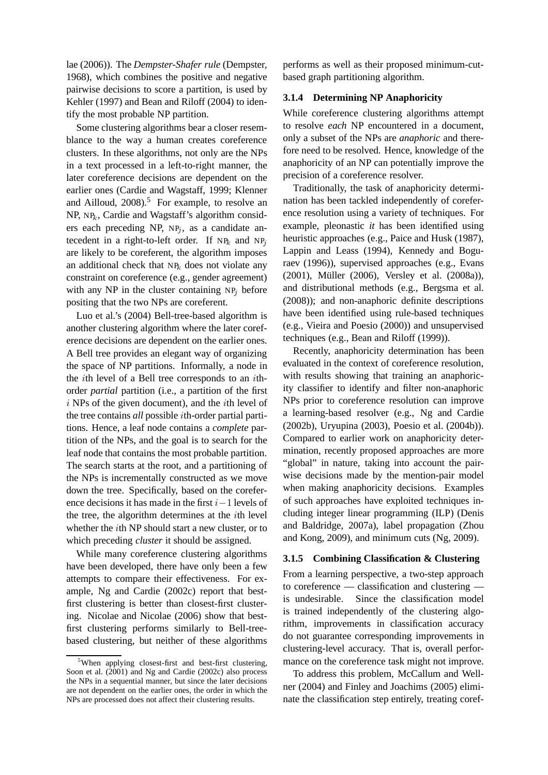lae (2006)). The *Dempster-Shafer rule* (Dempster, 1968), which combines the positive and negative pairwise decisions to score a partition, is used by Kehler (1997) and Bean and Riloff (2004) to identify the most probable NP partition.

Some clustering algorithms bear a closer resemblance to the way a human creates coreference clusters. In these algorithms, not only are the NPs in a text processed in a left-to-right manner, the later coreference decisions are dependent on the earlier ones (Cardie and Wagstaff, 1999; Klenner and Ailloud,  $2008$ .<sup>5</sup> For example, to resolve an  $NP$ ,  $NP$ <sub>k</sub>, Cardie and Wagstaff's algorithm considers each preceding NP,  $NP<sub>j</sub>$ , as a candidate antecedent in a right-to-left order. If  $NP_k$  and  $NP_j$ are likely to be coreferent, the algorithm imposes an additional check that  $NP_k$  does not violate any constraint on coreference (e.g., gender agreement) with any NP in the cluster containing  $NP_i$  before positing that the two NPs are coreferent.

Luo et al.'s (2004) Bell-tree-based algorithm is another clustering algorithm where the later coreference decisions are dependent on the earlier ones. A Bell tree provides an elegant way of organizing the space of NP partitions. Informally, a node in the ith level of a Bell tree corresponds to an ithorder *partial* partition (i.e., a partition of the first  $i$  NPs of the given document), and the  $i$ th level of the tree contains *all* possible ith-order partial partitions. Hence, a leaf node contains a *complete* partition of the NPs, and the goal is to search for the leaf node that contains the most probable partition. The search starts at the root, and a partitioning of the NPs is incrementally constructed as we move down the tree. Specifically, based on the coreference decisions it has made in the first  $i-1$  levels of the tree, the algorithm determines at the ith level whether the ith NP should start a new cluster, or to which preceding *cluster* it should be assigned.

While many coreference clustering algorithms have been developed, there have only been a few attempts to compare their effectiveness. For example, Ng and Cardie (2002c) report that bestfirst clustering is better than closest-first clustering. Nicolae and Nicolae (2006) show that bestfirst clustering performs similarly to Bell-treebased clustering, but neither of these algorithms

performs as well as their proposed minimum-cutbased graph partitioning algorithm.

#### **3.1.4 Determining NP Anaphoricity**

While coreference clustering algorithms attempt to resolve *each* NP encountered in a document, only a subset of the NPs are *anaphoric* and therefore need to be resolved. Hence, knowledge of the anaphoricity of an NP can potentially improve the precision of a coreference resolver.

Traditionally, the task of anaphoricity determination has been tackled independently of coreference resolution using a variety of techniques. For example, pleonastic *it* has been identified using heuristic approaches (e.g., Paice and Husk (1987), Lappin and Leass (1994), Kennedy and Boguraev (1996)), supervised approaches (e.g., Evans (2001), Müller (2006), Versley et al. (2008a)), and distributional methods (e.g., Bergsma et al. (2008)); and non-anaphoric definite descriptions have been identified using rule-based techniques (e.g., Vieira and Poesio (2000)) and unsupervised techniques (e.g., Bean and Riloff (1999)).

Recently, anaphoricity determination has been evaluated in the context of coreference resolution, with results showing that training an anaphoricity classifier to identify and filter non-anaphoric NPs prior to coreference resolution can improve a learning-based resolver (e.g., Ng and Cardie (2002b), Uryupina (2003), Poesio et al. (2004b)). Compared to earlier work on anaphoricity determination, recently proposed approaches are more "global" in nature, taking into account the pairwise decisions made by the mention-pair model when making anaphoricity decisions. Examples of such approaches have exploited techniques including integer linear programming (ILP) (Denis and Baldridge, 2007a), label propagation (Zhou and Kong, 2009), and minimum cuts (Ng, 2009).

#### **3.1.5 Combining Classification & Clustering**

From a learning perspective, a two-step approach to coreference — classification and clustering is undesirable. Since the classification model is trained independently of the clustering algorithm, improvements in classification accuracy do not guarantee corresponding improvements in clustering-level accuracy. That is, overall performance on the coreference task might not improve.

To address this problem, McCallum and Wellner (2004) and Finley and Joachims (2005) eliminate the classification step entirely, treating coref-

<sup>&</sup>lt;sup>5</sup>When applying closest-first and best-first clustering, Soon et al. (2001) and Ng and Cardie (2002c) also process the NPs in a sequential manner, but since the later decisions are not dependent on the earlier ones, the order in which the NPs are processed does not affect their clustering results.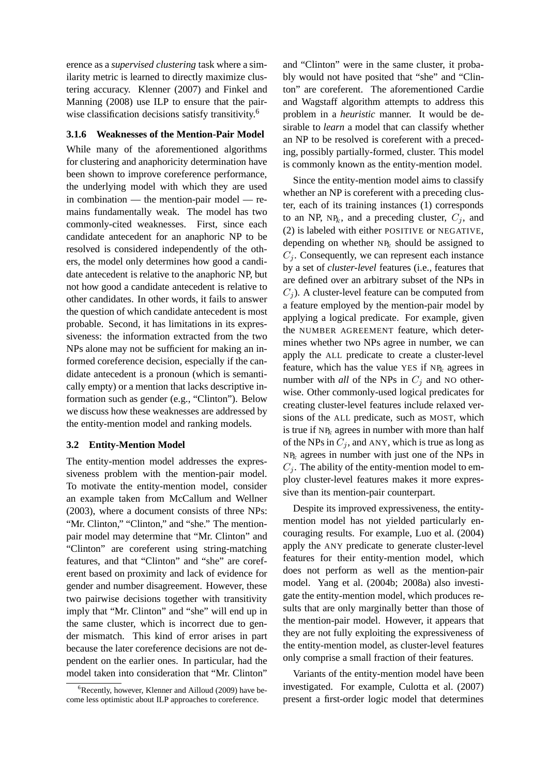erence as a *supervised clustering* task where a similarity metric is learned to directly maximize clustering accuracy. Klenner (2007) and Finkel and Manning (2008) use ILP to ensure that the pairwise classification decisions satisfy transitivity.<sup>6</sup>

#### **3.1.6 Weaknesses of the Mention-Pair Model**

While many of the aforementioned algorithms for clustering and anaphoricity determination have been shown to improve coreference performance, the underlying model with which they are used in combination — the mention-pair model — remains fundamentally weak. The model has two commonly-cited weaknesses. First, since each candidate antecedent for an anaphoric NP to be resolved is considered independently of the others, the model only determines how good a candidate antecedent is relative to the anaphoric NP, but not how good a candidate antecedent is relative to other candidates. In other words, it fails to answer the question of which candidate antecedent is most probable. Second, it has limitations in its expressiveness: the information extracted from the two NPs alone may not be sufficient for making an informed coreference decision, especially if the candidate antecedent is a pronoun (which is semantically empty) or a mention that lacks descriptive information such as gender (e.g., "Clinton"). Below we discuss how these weaknesses are addressed by the entity-mention model and ranking models.

#### **3.2 Entity-Mention Model**

The entity-mention model addresses the expressiveness problem with the mention-pair model. To motivate the entity-mention model, consider an example taken from McCallum and Wellner (2003), where a document consists of three NPs: "Mr. Clinton," "Clinton," and "she." The mentionpair model may determine that "Mr. Clinton" and "Clinton" are coreferent using string-matching features, and that "Clinton" and "she" are coreferent based on proximity and lack of evidence for gender and number disagreement. However, these two pairwise decisions together with transitivity imply that "Mr. Clinton" and "she" will end up in the same cluster, which is incorrect due to gender mismatch. This kind of error arises in part because the later coreference decisions are not dependent on the earlier ones. In particular, had the model taken into consideration that "Mr. Clinton"

and "Clinton" were in the same cluster, it probably would not have posited that "she" and "Clinton" are coreferent. The aforementioned Cardie and Wagstaff algorithm attempts to address this problem in a *heuristic* manner. It would be desirable to *learn* a model that can classify whether an NP to be resolved is coreferent with a preceding, possibly partially-formed, cluster. This model is commonly known as the entity-mention model.

Since the entity-mention model aims to classify whether an NP is coreferent with a preceding cluster, each of its training instances (1) corresponds to an NP, NP<sub>k</sub>, and a preceding cluster,  $C_i$ , and (2) is labeled with either POSITIVE or NEGATIVE, depending on whether  $NP_k$  should be assigned to  $C_i$ . Consequently, we can represent each instance by a set of *cluster-level* features (i.e., features that are defined over an arbitrary subset of the NPs in  $C_i$ ). A cluster-level feature can be computed from a feature employed by the mention-pair model by applying a logical predicate. For example, given the NUMBER AGREEMENT feature, which determines whether two NPs agree in number, we can apply the ALL predicate to create a cluster-level feature, which has the value YES if  $NP_k$  agrees in number with *all* of the NPs in  $C_i$  and NO otherwise. Other commonly-used logical predicates for creating cluster-level features include relaxed versions of the ALL predicate, such as MOST, which is true if  $NP_k$  agrees in number with more than half of the NPs in  $C_j$ , and ANY, which is true as long as  $NP_k$  agrees in number with just one of the NPs in  $C_i$ . The ability of the entity-mention model to employ cluster-level features makes it more expressive than its mention-pair counterpart.

Despite its improved expressiveness, the entitymention model has not yielded particularly encouraging results. For example, Luo et al. (2004) apply the ANY predicate to generate cluster-level features for their entity-mention model, which does not perform as well as the mention-pair model. Yang et al. (2004b; 2008a) also investigate the entity-mention model, which produces results that are only marginally better than those of the mention-pair model. However, it appears that they are not fully exploiting the expressiveness of the entity-mention model, as cluster-level features only comprise a small fraction of their features.

Variants of the entity-mention model have been investigated. For example, Culotta et al. (2007) present a first-order logic model that determines

 ${}^{6}$ Recently, however, Klenner and Ailloud (2009) have become less optimistic about ILP approaches to coreference.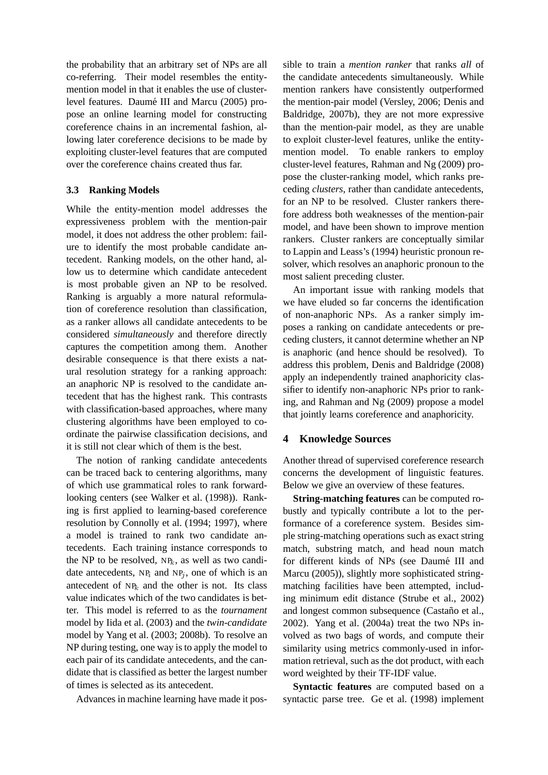the probability that an arbitrary set of NPs are all co-referring. Their model resembles the entitymention model in that it enables the use of clusterlevel features. Daumé III and Marcu (2005) propose an online learning model for constructing coreference chains in an incremental fashion, allowing later coreference decisions to be made by exploiting cluster-level features that are computed over the coreference chains created thus far.

### **3.3 Ranking Models**

While the entity-mention model addresses the expressiveness problem with the mention-pair model, it does not address the other problem: failure to identify the most probable candidate antecedent. Ranking models, on the other hand, allow us to determine which candidate antecedent is most probable given an NP to be resolved. Ranking is arguably a more natural reformulation of coreference resolution than classification, as a ranker allows all candidate antecedents to be considered *simultaneously* and therefore directly captures the competition among them. Another desirable consequence is that there exists a natural resolution strategy for a ranking approach: an anaphoric NP is resolved to the candidate antecedent that has the highest rank. This contrasts with classification-based approaches, where many clustering algorithms have been employed to coordinate the pairwise classification decisions, and it is still not clear which of them is the best.

The notion of ranking candidate antecedents can be traced back to centering algorithms, many of which use grammatical roles to rank forwardlooking centers (see Walker et al. (1998)). Ranking is first applied to learning-based coreference resolution by Connolly et al. (1994; 1997), where a model is trained to rank two candidate antecedents. Each training instance corresponds to the NP to be resolved,  $NP_k$ , as well as two candidate antecedents,  $NP_i$  and  $NP_j$ , one of which is an antecedent of  $NP_k$  and the other is not. Its class value indicates which of the two candidates is better. This model is referred to as the *tournament* model by Iida et al. (2003) and the *twin-candidate* model by Yang et al. (2003; 2008b). To resolve an NP during testing, one way is to apply the model to each pair of its candidate antecedents, and the candidate that is classified as better the largest number of times is selected as its antecedent.

Advances in machine learning have made it pos-

sible to train a *mention ranker* that ranks *all* of the candidate antecedents simultaneously. While mention rankers have consistently outperformed the mention-pair model (Versley, 2006; Denis and Baldridge, 2007b), they are not more expressive than the mention-pair model, as they are unable to exploit cluster-level features, unlike the entitymention model. To enable rankers to employ cluster-level features, Rahman and Ng (2009) propose the cluster-ranking model, which ranks preceding *clusters*, rather than candidate antecedents, for an NP to be resolved. Cluster rankers therefore address both weaknesses of the mention-pair model, and have been shown to improve mention rankers. Cluster rankers are conceptually similar to Lappin and Leass's (1994) heuristic pronoun resolver, which resolves an anaphoric pronoun to the most salient preceding cluster.

An important issue with ranking models that we have eluded so far concerns the identification of non-anaphoric NPs. As a ranker simply imposes a ranking on candidate antecedents or preceding clusters, it cannot determine whether an NP is anaphoric (and hence should be resolved). To address this problem, Denis and Baldridge (2008) apply an independently trained anaphoricity classifier to identify non-anaphoric NPs prior to ranking, and Rahman and Ng (2009) propose a model that jointly learns coreference and anaphoricity.

## **4 Knowledge Sources**

Another thread of supervised coreference research concerns the development of linguistic features. Below we give an overview of these features.

**String-matching features** can be computed robustly and typically contribute a lot to the performance of a coreference system. Besides simple string-matching operations such as exact string match, substring match, and head noun match for different kinds of NPs (see Daumé III and Marcu (2005)), slightly more sophisticated stringmatching facilities have been attempted, including minimum edit distance (Strube et al., 2002) and longest common subsequence (Castaño et al., 2002). Yang et al. (2004a) treat the two NPs involved as two bags of words, and compute their similarity using metrics commonly-used in information retrieval, such as the dot product, with each word weighted by their TF-IDF value.

**Syntactic features** are computed based on a syntactic parse tree. Ge et al. (1998) implement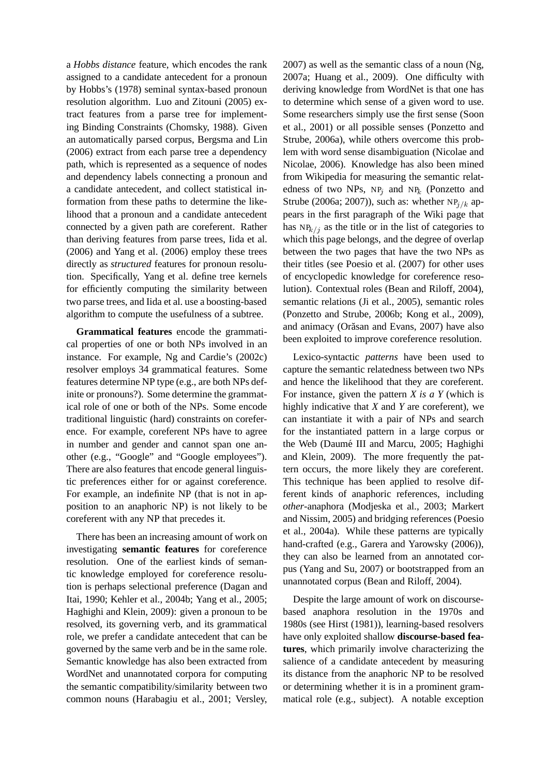a *Hobbs distance* feature, which encodes the rank assigned to a candidate antecedent for a pronoun by Hobbs's (1978) seminal syntax-based pronoun resolution algorithm. Luo and Zitouni (2005) extract features from a parse tree for implementing Binding Constraints (Chomsky, 1988). Given an automatically parsed corpus, Bergsma and Lin (2006) extract from each parse tree a dependency path, which is represented as a sequence of nodes and dependency labels connecting a pronoun and a candidate antecedent, and collect statistical information from these paths to determine the likelihood that a pronoun and a candidate antecedent connected by a given path are coreferent. Rather than deriving features from parse trees, Iida et al. (2006) and Yang et al. (2006) employ these trees directly as *structured* features for pronoun resolution. Specifically, Yang et al. define tree kernels for efficiently computing the similarity between two parse trees, and Iida et al. use a boosting-based algorithm to compute the usefulness of a subtree.

**Grammatical features** encode the grammatical properties of one or both NPs involved in an instance. For example, Ng and Cardie's (2002c) resolver employs 34 grammatical features. Some features determine NP type (e.g., are both NPs definite or pronouns?). Some determine the grammatical role of one or both of the NPs. Some encode traditional linguistic (hard) constraints on coreference. For example, coreferent NPs have to agree in number and gender and cannot span one another (e.g., "Google" and "Google employees"). There are also features that encode general linguistic preferences either for or against coreference. For example, an indefinite NP (that is not in apposition to an anaphoric NP) is not likely to be coreferent with any NP that precedes it.

There has been an increasing amount of work on investigating **semantic features** for coreference resolution. One of the earliest kinds of semantic knowledge employed for coreference resolution is perhaps selectional preference (Dagan and Itai, 1990; Kehler et al., 2004b; Yang et al., 2005; Haghighi and Klein, 2009): given a pronoun to be resolved, its governing verb, and its grammatical role, we prefer a candidate antecedent that can be governed by the same verb and be in the same role. Semantic knowledge has also been extracted from WordNet and unannotated corpora for computing the semantic compatibility/similarity between two common nouns (Harabagiu et al., 2001; Versley,

2007) as well as the semantic class of a noun (Ng, 2007a; Huang et al., 2009). One difficulty with deriving knowledge from WordNet is that one has to determine which sense of a given word to use. Some researchers simply use the first sense (Soon et al., 2001) or all possible senses (Ponzetto and Strube, 2006a), while others overcome this problem with word sense disambiguation (Nicolae and Nicolae, 2006). Knowledge has also been mined from Wikipedia for measuring the semantic relatedness of two NPs,  $NP_i$  and  $NP_k$  (Ponzetto and Strube (2006a; 2007)), such as: whether  $NP_{i/k}$  appears in the first paragraph of the Wiki page that has  $NP<sub>k/i</sub>$  as the title or in the list of categories to which this page belongs, and the degree of overlap between the two pages that have the two NPs as their titles (see Poesio et al. (2007) for other uses of encyclopedic knowledge for coreference resolution). Contextual roles (Bean and Riloff, 2004), semantic relations (Ji et al., 2005), semantic roles (Ponzetto and Strube, 2006b; Kong et al., 2009), and animacy (Orăsan and Evans, 2007) have also been exploited to improve coreference resolution.

Lexico-syntactic *patterns* have been used to capture the semantic relatedness between two NPs and hence the likelihood that they are coreferent. For instance, given the pattern *X is a Y* (which is highly indicative that *X* and *Y* are coreferent), we can instantiate it with a pair of NPs and search for the instantiated pattern in a large corpus or the Web (Daumé III and Marcu, 2005; Haghighi and Klein, 2009). The more frequently the pattern occurs, the more likely they are coreferent. This technique has been applied to resolve different kinds of anaphoric references, including *other*-anaphora (Modjeska et al., 2003; Markert and Nissim, 2005) and bridging references (Poesio et al., 2004a). While these patterns are typically hand-crafted (e.g., Garera and Yarowsky (2006)), they can also be learned from an annotated corpus (Yang and Su, 2007) or bootstrapped from an unannotated corpus (Bean and Riloff, 2004).

Despite the large amount of work on discoursebased anaphora resolution in the 1970s and 1980s (see Hirst (1981)), learning-based resolvers have only exploited shallow **discourse-based features**, which primarily involve characterizing the salience of a candidate antecedent by measuring its distance from the anaphoric NP to be resolved or determining whether it is in a prominent grammatical role (e.g., subject). A notable exception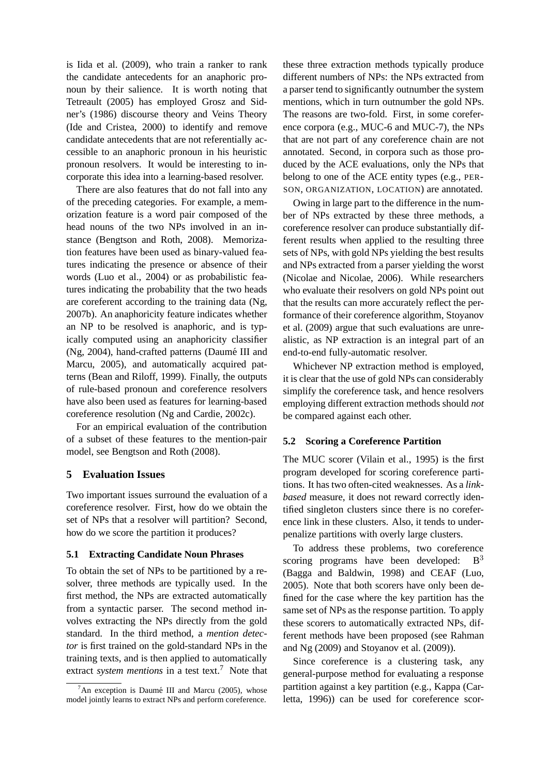is Iida et al. (2009), who train a ranker to rank the candidate antecedents for an anaphoric pronoun by their salience. It is worth noting that Tetreault (2005) has employed Grosz and Sidner's (1986) discourse theory and Veins Theory (Ide and Cristea, 2000) to identify and remove candidate antecedents that are not referentially accessible to an anaphoric pronoun in his heuristic pronoun resolvers. It would be interesting to incorporate this idea into a learning-based resolver.

There are also features that do not fall into any of the preceding categories. For example, a memorization feature is a word pair composed of the head nouns of the two NPs involved in an instance (Bengtson and Roth, 2008). Memorization features have been used as binary-valued features indicating the presence or absence of their words (Luo et al., 2004) or as probabilistic features indicating the probability that the two heads are coreferent according to the training data (Ng, 2007b). An anaphoricity feature indicates whether an NP to be resolved is anaphoric, and is typically computed using an anaphoricity classifier (Ng, 2004), hand-crafted patterns (Daumé III and Marcu, 2005), and automatically acquired patterns (Bean and Riloff, 1999). Finally, the outputs of rule-based pronoun and coreference resolvers have also been used as features for learning-based coreference resolution (Ng and Cardie, 2002c).

For an empirical evaluation of the contribution of a subset of these features to the mention-pair model, see Bengtson and Roth (2008).

## **5 Evaluation Issues**

Two important issues surround the evaluation of a coreference resolver. First, how do we obtain the set of NPs that a resolver will partition? Second, how do we score the partition it produces?

#### **5.1 Extracting Candidate Noun Phrases**

To obtain the set of NPs to be partitioned by a resolver, three methods are typically used. In the first method, the NPs are extracted automatically from a syntactic parser. The second method involves extracting the NPs directly from the gold standard. In the third method, a *mention detector* is first trained on the gold-standard NPs in the training texts, and is then applied to automatically extract *system mentions* in a test text.<sup>7</sup> Note that these three extraction methods typically produce different numbers of NPs: the NPs extracted from a parser tend to significantly outnumber the system mentions, which in turn outnumber the gold NPs. The reasons are two-fold. First, in some coreference corpora (e.g., MUC-6 and MUC-7), the NPs that are not part of any coreference chain are not annotated. Second, in corpora such as those produced by the ACE evaluations, only the NPs that belong to one of the ACE entity types (e.g., PER-SON, ORGANIZATION, LOCATION) are annotated.

Owing in large part to the difference in the number of NPs extracted by these three methods, a coreference resolver can produce substantially different results when applied to the resulting three sets of NPs, with gold NPs yielding the best results and NPs extracted from a parser yielding the worst (Nicolae and Nicolae, 2006). While researchers who evaluate their resolvers on gold NPs point out that the results can more accurately reflect the performance of their coreference algorithm, Stoyanov et al. (2009) argue that such evaluations are unrealistic, as NP extraction is an integral part of an end-to-end fully-automatic resolver.

Whichever NP extraction method is employed, it is clear that the use of gold NPs can considerably simplify the coreference task, and hence resolvers employing different extraction methods should *not* be compared against each other.

#### **5.2 Scoring a Coreference Partition**

The MUC scorer (Vilain et al., 1995) is the first program developed for scoring coreference partitions. It has two often-cited weaknesses. As a *linkbased* measure, it does not reward correctly identified singleton clusters since there is no coreference link in these clusters. Also, it tends to underpenalize partitions with overly large clusters.

To address these problems, two coreference scoring programs have been developed:  $B<sup>3</sup>$ (Bagga and Baldwin, 1998) and CEAF (Luo, 2005). Note that both scorers have only been defined for the case where the key partition has the same set of NPs as the response partition. To apply these scorers to automatically extracted NPs, different methods have been proposed (see Rahman and  $Ng(2009)$  and Stoyanov et al.  $(2009)$ ).

Since coreference is a clustering task, any general-purpose method for evaluating a response partition against a key partition (e.g., Kappa (Carletta, 1996)) can be used for coreference scor-

 $7$ An exception is Daumé III and Marcu (2005), whose model jointly learns to extract NPs and perform coreference.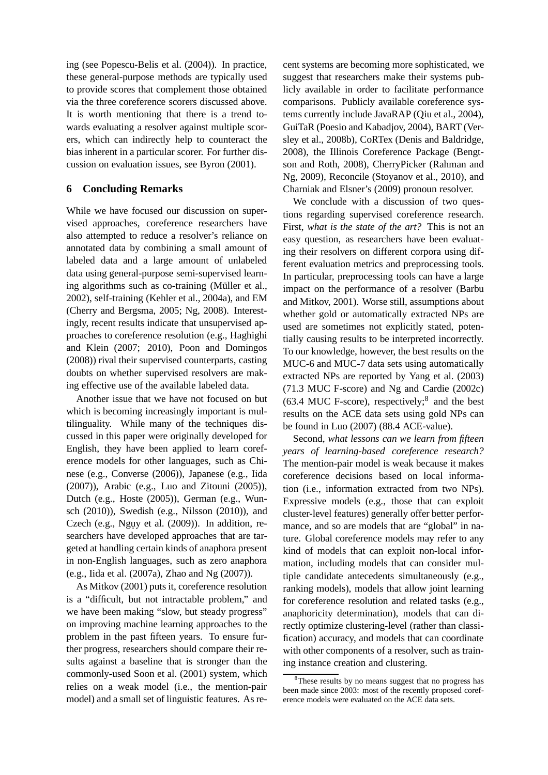ing (see Popescu-Belis et al. (2004)). In practice, these general-purpose methods are typically used to provide scores that complement those obtained via the three coreference scorers discussed above. It is worth mentioning that there is a trend towards evaluating a resolver against multiple scorers, which can indirectly help to counteract the bias inherent in a particular scorer. For further discussion on evaluation issues, see Byron (2001).

## **6 Concluding Remarks**

While we have focused our discussion on supervised approaches, coreference researchers have also attempted to reduce a resolver's reliance on annotated data by combining a small amount of labeled data and a large amount of unlabeled data using general-purpose semi-supervised learning algorithms such as co-training (Müller et al., 2002), self-training (Kehler et al., 2004a), and EM (Cherry and Bergsma, 2005; Ng, 2008). Interestingly, recent results indicate that unsupervised approaches to coreference resolution (e.g., Haghighi and Klein (2007; 2010), Poon and Domingos (2008)) rival their supervised counterparts, casting doubts on whether supervised resolvers are making effective use of the available labeled data.

Another issue that we have not focused on but which is becoming increasingly important is multilinguality. While many of the techniques discussed in this paper were originally developed for English, they have been applied to learn coreference models for other languages, such as Chinese (e.g., Converse (2006)), Japanese (e.g., Iida (2007)), Arabic (e.g., Luo and Zitouni (2005)), Dutch (e.g., Hoste (2005)), German (e.g., Wunsch (2010)), Swedish (e.g., Nilsson (2010)), and Czech (e.g., Nguy et al.  $(2009)$ ). In addition, researchers have developed approaches that are targeted at handling certain kinds of anaphora present in non-English languages, such as zero anaphora (e.g., Iida et al. (2007a), Zhao and Ng (2007)).

As Mitkov (2001) puts it, coreference resolution is a "difficult, but not intractable problem," and we have been making "slow, but steady progress" on improving machine learning approaches to the problem in the past fifteen years. To ensure further progress, researchers should compare their results against a baseline that is stronger than the commonly-used Soon et al. (2001) system, which relies on a weak model (i.e., the mention-pair model) and a small set of linguistic features. As recent systems are becoming more sophisticated, we suggest that researchers make their systems publicly available in order to facilitate performance comparisons. Publicly available coreference systems currently include JavaRAP (Qiu et al., 2004), GuiTaR (Poesio and Kabadjov, 2004), BART (Versley et al., 2008b), CoRTex (Denis and Baldridge, 2008), the Illinois Coreference Package (Bengtson and Roth, 2008), CherryPicker (Rahman and Ng, 2009), Reconcile (Stoyanov et al., 2010), and Charniak and Elsner's (2009) pronoun resolver.

We conclude with a discussion of two questions regarding supervised coreference research. First, *what is the state of the art?* This is not an easy question, as researchers have been evaluating their resolvers on different corpora using different evaluation metrics and preprocessing tools. In particular, preprocessing tools can have a large impact on the performance of a resolver (Barbu and Mitkov, 2001). Worse still, assumptions about whether gold or automatically extracted NPs are used are sometimes not explicitly stated, potentially causing results to be interpreted incorrectly. To our knowledge, however, the best results on the MUC-6 and MUC-7 data sets using automatically extracted NPs are reported by Yang et al. (2003) (71.3 MUC F-score) and Ng and Cardie (2002c)  $(63.4 \text{ MUC F-score})$ , respectively;<sup>8</sup> and the best results on the ACE data sets using gold NPs can be found in Luo (2007) (88.4 ACE-value).

Second, *what lessons can we learn from fifteen years of learning-based coreference research?* The mention-pair model is weak because it makes coreference decisions based on local information (i.e., information extracted from two NPs). Expressive models (e.g., those that can exploit cluster-level features) generally offer better performance, and so are models that are "global" in nature. Global coreference models may refer to any kind of models that can exploit non-local information, including models that can consider multiple candidate antecedents simultaneously (e.g., ranking models), models that allow joint learning for coreference resolution and related tasks (e.g., anaphoricity determination), models that can directly optimize clustering-level (rather than classification) accuracy, and models that can coordinate with other components of a resolver, such as training instance creation and clustering.

<sup>&</sup>lt;sup>8</sup>These results by no means suggest that no progress has been made since 2003: most of the recently proposed coreference models were evaluated on the ACE data sets.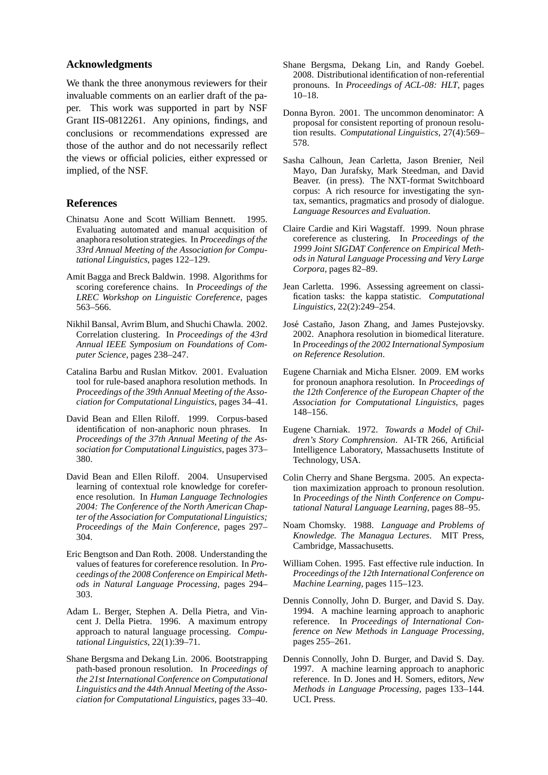#### **Acknowledgments**

We thank the three anonymous reviewers for their invaluable comments on an earlier draft of the paper. This work was supported in part by NSF Grant IIS-0812261. Any opinions, findings, and conclusions or recommendations expressed are those of the author and do not necessarily reflect the views or official policies, either expressed or implied, of the NSF.

#### **References**

- Chinatsu Aone and Scott William Bennett. 1995. Evaluating automated and manual acquisition of anaphora resolution strategies. In *Proceedings of the 33rd Annual Meeting of the Association for Computational Linguistics*, pages 122–129.
- Amit Bagga and Breck Baldwin. 1998. Algorithms for scoring coreference chains. In *Proceedings of the LREC Workshop on Linguistic Coreference*, pages 563–566.
- Nikhil Bansal, Avrim Blum, and Shuchi Chawla. 2002. Correlation clustering. In *Proceedings of the 43rd Annual IEEE Symposium on Foundations of Computer Science*, pages 238–247.
- Catalina Barbu and Ruslan Mitkov. 2001. Evaluation tool for rule-based anaphora resolution methods. In *Proceedings of the 39th Annual Meeting of the Association for Computational Linguistics*, pages 34–41.
- David Bean and Ellen Riloff. 1999. Corpus-based identification of non-anaphoric noun phrases. In *Proceedings of the 37th Annual Meeting of the Association for Computational Linguistics*, pages 373– 380.
- David Bean and Ellen Riloff. 2004. Unsupervised learning of contextual role knowledge for coreference resolution. In *Human Language Technologies 2004: The Conference of the North American Chapter of the Association for Computational Linguistics; Proceedings of the Main Conference*, pages 297– 304.
- Eric Bengtson and Dan Roth. 2008. Understanding the values of features for coreference resolution. In *Proceedings of the 2008 Conference on Empirical Methods in Natural Language Processing*, pages 294– 303.
- Adam L. Berger, Stephen A. Della Pietra, and Vincent J. Della Pietra. 1996. A maximum entropy approach to natural language processing. *Computational Linguistics*, 22(1):39–71.
- Shane Bergsma and Dekang Lin. 2006. Bootstrapping path-based pronoun resolution. In *Proceedings of the 21st International Conference on Computational Linguistics and the 44th Annual Meeting of the Association for Computational Linguistics*, pages 33–40.
- Shane Bergsma, Dekang Lin, and Randy Goebel. 2008. Distributional identification of non-referential pronouns. In *Proceedings of ACL-08: HLT*, pages 10–18.
- Donna Byron. 2001. The uncommon denominator: A proposal for consistent reporting of pronoun resolution results. *Computational Linguistics*, 27(4):569– 578.
- Sasha Calhoun, Jean Carletta, Jason Brenier, Neil Mayo, Dan Jurafsky, Mark Steedman, and David Beaver. (in press). The NXT-format Switchboard corpus: A rich resource for investigating the syntax, semantics, pragmatics and prosody of dialogue. *Language Resources and Evaluation*.
- Claire Cardie and Kiri Wagstaff. 1999. Noun phrase coreference as clustering. In *Proceedings of the 1999 Joint SIGDAT Conference on Empirical Methods in Natural Language Processing and Very Large Corpora*, pages 82–89.
- Jean Carletta. 1996. Assessing agreement on classification tasks: the kappa statistic. *Computational Linguistics*, 22(2):249–254.
- José Castaño, Jason Zhang, and James Pustejovsky. 2002. Anaphora resolution in biomedical literature. In *Proceedings of the 2002 International Symposium on Reference Resolution*.
- Eugene Charniak and Micha Elsner. 2009. EM works for pronoun anaphora resolution. In *Proceedings of the 12th Conference of the European Chapter of the Association for Computational Linguistics*, pages 148–156.
- Eugene Charniak. 1972. *Towards a Model of Children's Story Comphrension*. AI-TR 266, Artificial Intelligence Laboratory, Massachusetts Institute of Technology, USA.
- Colin Cherry and Shane Bergsma. 2005. An expectation maximization approach to pronoun resolution. In *Proceedings of the Ninth Conference on Computational Natural Language Learning*, pages 88–95.
- Noam Chomsky. 1988. *Language and Problems of Knowledge. The Managua Lectures*. MIT Press, Cambridge, Massachusetts.
- William Cohen. 1995. Fast effective rule induction. In *Proceedings of the 12th International Conference on Machine Learning*, pages 115–123.
- Dennis Connolly, John D. Burger, and David S. Day. 1994. A machine learning approach to anaphoric reference. In *Proceedings of International Conference on New Methods in Language Processing*, pages 255–261.
- Dennis Connolly, John D. Burger, and David S. Day. 1997. A machine learning approach to anaphoric reference. In D. Jones and H. Somers, editors, *New Methods in Language Processing*, pages 133–144. UCL Press.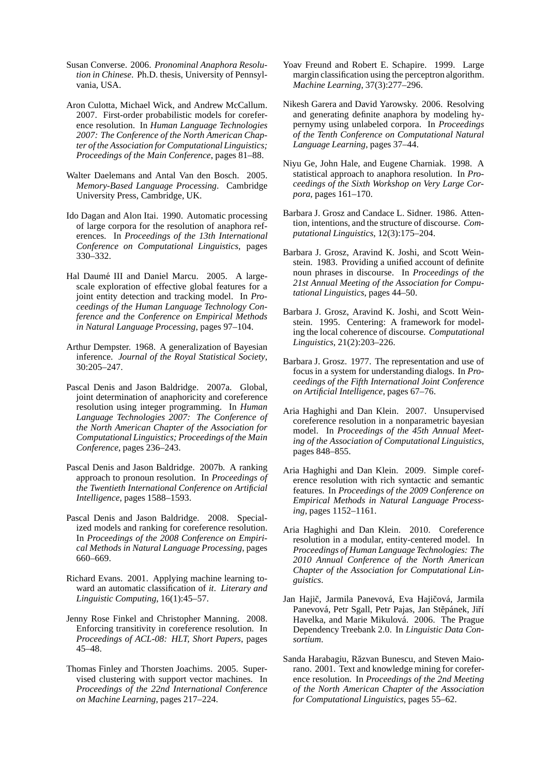- Susan Converse. 2006. *Pronominal Anaphora Resolution in Chinese*. Ph.D. thesis, University of Pennsylvania, USA.
- Aron Culotta, Michael Wick, and Andrew McCallum. 2007. First-order probabilistic models for coreference resolution. In *Human Language Technologies 2007: The Conference of the North American Chapter of the Association for Computational Linguistics; Proceedings of the Main Conference*, pages 81–88.
- Walter Daelemans and Antal Van den Bosch. 2005. *Memory-Based Language Processing*. Cambridge University Press, Cambridge, UK.
- Ido Dagan and Alon Itai. 1990. Automatic processing of large corpora for the resolution of anaphora references. In *Proceedings of the 13th International Conference on Computational Linguistics*, pages 330–332.
- Hal Daumé III and Daniel Marcu. 2005. A largescale exploration of effective global features for a joint entity detection and tracking model. In *Proceedings of the Human Language Technology Conference and the Conference on Empirical Methods in Natural Language Processing*, pages 97–104.
- Arthur Dempster. 1968. A generalization of Bayesian inference. *Journal of the Royal Statistical Society*, 30:205–247.
- Pascal Denis and Jason Baldridge. 2007a. Global, joint determination of anaphoricity and coreference resolution using integer programming. In *Human Language Technologies 2007: The Conference of the North American Chapter of the Association for Computational Linguistics; Proceedings of the Main Conference*, pages 236–243.
- Pascal Denis and Jason Baldridge. 2007b. A ranking approach to pronoun resolution. In *Proceedings of the Twentieth International Conference on Artificial Intelligence*, pages 1588–1593.
- Pascal Denis and Jason Baldridge. 2008. Specialized models and ranking for coreference resolution. In *Proceedings of the 2008 Conference on Empirical Methods in Natural Language Processing*, pages 660–669.
- Richard Evans. 2001. Applying machine learning toward an automatic classification of *it*. *Literary and Linguistic Computing*, 16(1):45–57.
- Jenny Rose Finkel and Christopher Manning. 2008. Enforcing transitivity in coreference resolution. In *Proceedings of ACL-08: HLT, Short Papers*, pages 45–48.
- Thomas Finley and Thorsten Joachims. 2005. Supervised clustering with support vector machines. In *Proceedings of the 22nd International Conference on Machine Learning*, pages 217–224.
- Yoav Freund and Robert E. Schapire. 1999. Large margin classification using the perceptron algorithm. *Machine Learning*, 37(3):277–296.
- Nikesh Garera and David Yarowsky. 2006. Resolving and generating definite anaphora by modeling hypernymy using unlabeled corpora. In *Proceedings of the Tenth Conference on Computational Natural Language Learning*, pages 37–44.
- Niyu Ge, John Hale, and Eugene Charniak. 1998. A statistical approach to anaphora resolution. In *Proceedings of the Sixth Workshop on Very Large Corpora*, pages 161–170.
- Barbara J. Grosz and Candace L. Sidner. 1986. Attention, intentions, and the structure of discourse. *Computational Linguistics*, 12(3):175–204.
- Barbara J. Grosz, Aravind K. Joshi, and Scott Weinstein. 1983. Providing a unified account of definite noun phrases in discourse. In *Proceedings of the 21st Annual Meeting of the Association for Computational Linguistics*, pages 44–50.
- Barbara J. Grosz, Aravind K. Joshi, and Scott Weinstein. 1995. Centering: A framework for modeling the local coherence of discourse. *Computational Linguistics*, 21(2):203–226.
- Barbara J. Grosz. 1977. The representation and use of focus in a system for understanding dialogs. In *Proceedings of the Fifth International Joint Conference on Artificial Intelligence*, pages 67–76.
- Aria Haghighi and Dan Klein. 2007. Unsupervised coreference resolution in a nonparametric bayesian model. In *Proceedings of the 45th Annual Meeting of the Association of Computational Linguistics*, pages 848–855.
- Aria Haghighi and Dan Klein. 2009. Simple coreference resolution with rich syntactic and semantic features. In *Proceedings of the 2009 Conference on Empirical Methods in Natural Language Processing*, pages 1152–1161.
- Aria Haghighi and Dan Klein. 2010. Coreference resolution in a modular, entity-centered model. In *Proceedings of Human Language Technologies: The 2010 Annual Conference of the North American Chapter of the Association for Computational Linguistics*.
- Jan Hajič, Jarmila Panevová, Eva Hajičová, Jarmila Panevová, Petr Sgall, Petr Pajas, Jan Stěpánek, Jiří Havelka, and Marie Mikulová. 2006. The Prague Dependency Treebank 2.0. In *Linguistic Data Consortium*.
- Sanda Harabagiu, Răzvan Bunescu, and Steven Maiorano. 2001. Text and knowledge mining for coreference resolution. In *Proceedings of the 2nd Meeting of the North American Chapter of the Association for Computational Linguistics*, pages 55–62.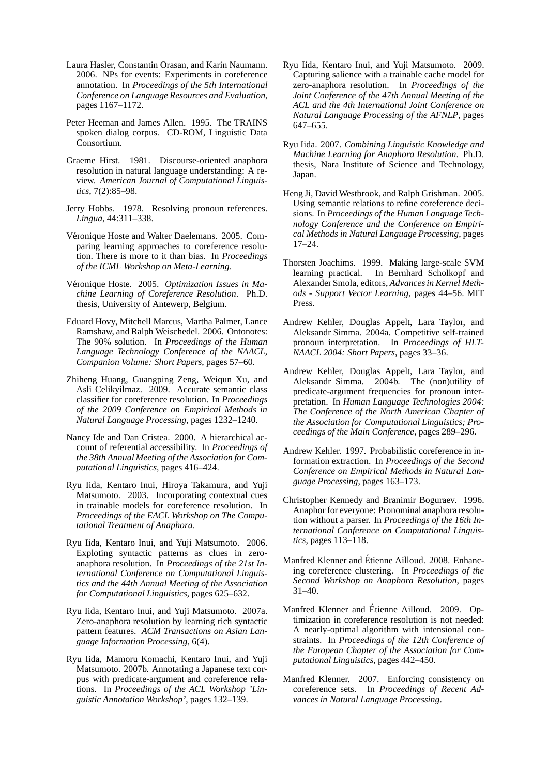- Laura Hasler, Constantin Orasan, and Karin Naumann. 2006. NPs for events: Experiments in coreference annotation. In *Proceedings of the 5th International Conference on Language Resources and Evaluation*, pages 1167–1172.
- Peter Heeman and James Allen. 1995. The TRAINS spoken dialog corpus. CD-ROM, Linguistic Data Consortium.
- Graeme Hirst. 1981. Discourse-oriented anaphora resolution in natural language understanding: A review. *American Journal of Computational Linguistics*, 7(2):85–98.
- Jerry Hobbs. 1978. Resolving pronoun references. *Lingua*, 44:311–338.
- Véronique Hoste and Walter Daelemans. 2005. Comparing learning approaches to coreference resolution. There is more to it than bias. In *Proceedings of the ICML Workshop on Meta-Learning*.
- Véronique Hoste. 2005. *Optimization Issues in Machine Learning of Coreference Resolution*. Ph.D. thesis, University of Antewerp, Belgium.
- Eduard Hovy, Mitchell Marcus, Martha Palmer, Lance Ramshaw, and Ralph Weischedel. 2006. Ontonotes: The 90% solution. In *Proceedings of the Human Language Technology Conference of the NAACL, Companion Volume: Short Papers*, pages 57–60.
- Zhiheng Huang, Guangping Zeng, Weiqun Xu, and Asli Celikyilmaz. 2009. Accurate semantic class classifier for coreference resolution. In *Proceedings of the 2009 Conference on Empirical Methods in Natural Language Processing*, pages 1232–1240.
- Nancy Ide and Dan Cristea. 2000. A hierarchical account of referential accessibility. In *Proceedings of the 38th Annual Meeting of the Association for Computational Linguistics*, pages 416–424.
- Ryu Iida, Kentaro Inui, Hiroya Takamura, and Yuji Matsumoto. 2003. Incorporating contextual cues in trainable models for coreference resolution. In *Proceedings of the EACL Workshop on The Computational Treatment of Anaphora*.
- Ryu Iida, Kentaro Inui, and Yuji Matsumoto. 2006. Exploting syntactic patterns as clues in zeroanaphora resolution. In *Proceedings of the 21st International Conference on Computational Linguistics and the 44th Annual Meeting of the Association for Computational Linguistics*, pages 625–632.
- Ryu Iida, Kentaro Inui, and Yuji Matsumoto. 2007a. Zero-anaphora resolution by learning rich syntactic pattern features. *ACM Transactions on Asian Language Information Processing*, 6(4).
- Ryu Iida, Mamoru Komachi, Kentaro Inui, and Yuji Matsumoto. 2007b. Annotating a Japanese text corpus with predicate-argument and coreference relations. In *Proceedings of the ACL Workshop 'Linguistic Annotation Workshop'*, pages 132–139.
- Ryu Iida, Kentaro Inui, and Yuji Matsumoto. 2009. Capturing salience with a trainable cache model for zero-anaphora resolution. In *Proceedings of the Joint Conference of the 47th Annual Meeting of the ACL and the 4th International Joint Conference on Natural Language Processing of the AFNLP*, pages 647–655.
- Ryu Iida. 2007. *Combining Linguistic Knowledge and Machine Learning for Anaphora Resolution*. Ph.D. thesis, Nara Institute of Science and Technology, Japan.
- Heng Ji, David Westbrook, and Ralph Grishman. 2005. Using semantic relations to refine coreference decisions. In *Proceedings of the Human Language Technology Conference and the Conference on Empirical Methods in Natural Language Processing*, pages 17–24.
- Thorsten Joachims. 1999. Making large-scale SVM learning practical. In Bernhard Scholkopf and Alexander Smola, editors, *Advances in Kernel Methods - Support Vector Learning*, pages 44–56. MIT Press.
- Andrew Kehler, Douglas Appelt, Lara Taylor, and Aleksandr Simma. 2004a. Competitive self-trained pronoun interpretation. In *Proceedings of HLT-NAACL 2004: Short Papers*, pages 33–36.
- Andrew Kehler, Douglas Appelt, Lara Taylor, and Aleksandr Simma. 2004b. The (non)utility of predicate-argument frequencies for pronoun interpretation. In *Human Language Technologies 2004: The Conference of the North American Chapter of the Association for Computational Linguistics; Proceedings of the Main Conference*, pages 289–296.
- Andrew Kehler. 1997. Probabilistic coreference in information extraction. In *Proceedings of the Second Conference on Empirical Methods in Natural Language Processing*, pages 163–173.
- Christopher Kennedy and Branimir Boguraev. 1996. Anaphor for everyone: Pronominal anaphora resolution without a parser. In *Proceedings of the 16th International Conference on Computational Linguistics*, pages 113–118.
- Manfred Klenner and Étienne Ailloud. 2008. Enhancing coreference clustering. In *Proceedings of the Second Workshop on Anaphora Resolution*, pages  $31-40.$
- Manfred Klenner and Étienne Ailloud. 2009. Optimization in coreference resolution is not needed: A nearly-optimal algorithm with intensional constraints. In *Proceedings of the 12th Conference of the European Chapter of the Association for Computational Linguistics*, pages 442–450.
- Manfred Klenner. 2007. Enforcing consistency on coreference sets. In *Proceedings of Recent Advances in Natural Language Processing*.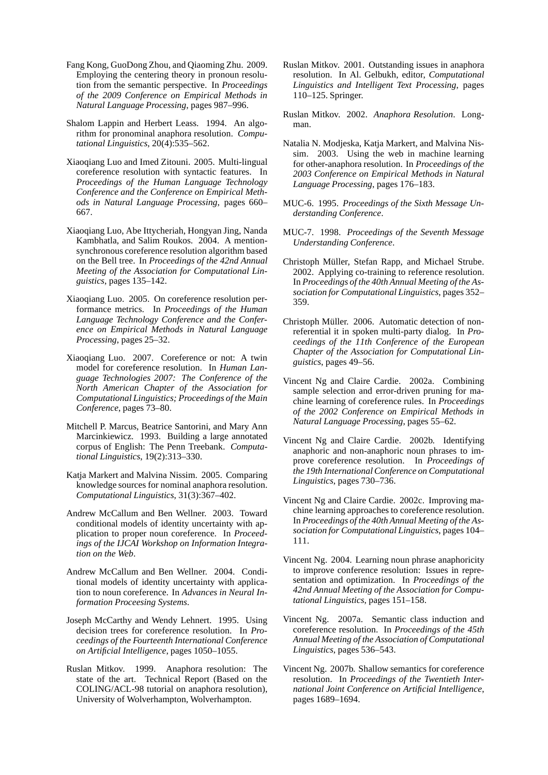- Fang Kong, GuoDong Zhou, and Qiaoming Zhu. 2009. Employing the centering theory in pronoun resolution from the semantic perspective. In *Proceedings of the 2009 Conference on Empirical Methods in Natural Language Processing*, pages 987–996.
- Shalom Lappin and Herbert Leass. 1994. An algorithm for pronominal anaphora resolution. *Computational Linguistics*, 20(4):535–562.
- Xiaoqiang Luo and Imed Zitouni. 2005. Multi-lingual coreference resolution with syntactic features. In *Proceedings of the Human Language Technology Conference and the Conference on Empirical Methods in Natural Language Processing*, pages 660– 667.
- Xiaoqiang Luo, Abe Ittycheriah, Hongyan Jing, Nanda Kambhatla, and Salim Roukos. 2004. A mentionsynchronous coreference resolution algorithm based on the Bell tree. In *Proceedings of the 42nd Annual Meeting of the Association for Computational Linguistics*, pages 135–142.
- Xiaoqiang Luo. 2005. On coreference resolution performance metrics. In *Proceedings of the Human Language Technology Conference and the Conference on Empirical Methods in Natural Language Processing*, pages 25–32.
- Xiaoqiang Luo. 2007. Coreference or not: A twin model for coreference resolution. In *Human Language Technologies 2007: The Conference of the North American Chapter of the Association for Computational Linguistics; Proceedings of the Main Conference*, pages 73–80.
- Mitchell P. Marcus, Beatrice Santorini, and Mary Ann Marcinkiewicz. 1993. Building a large annotated corpus of English: The Penn Treebank. *Computational Linguistics*, 19(2):313–330.
- Katja Markert and Malvina Nissim. 2005. Comparing knowledge sources for nominal anaphora resolution. *Computational Linguistics*, 31(3):367–402.
- Andrew McCallum and Ben Wellner. 2003. Toward conditional models of identity uncertainty with application to proper noun coreference. In *Proceedings of the IJCAI Workshop on Information Integration on the Web*.
- Andrew McCallum and Ben Wellner. 2004. Conditional models of identity uncertainty with application to noun coreference. In *Advances in Neural Information Proceesing Systems*.
- Joseph McCarthy and Wendy Lehnert. 1995. Using decision trees for coreference resolution. In *Proceedings of the Fourteenth International Conference on Artificial Intelligence*, pages 1050–1055.
- Ruslan Mitkov. 1999. Anaphora resolution: The state of the art. Technical Report (Based on the COLING/ACL-98 tutorial on anaphora resolution), University of Wolverhampton, Wolverhampton.
- Ruslan Mitkov. 2001. Outstanding issues in anaphora resolution. In Al. Gelbukh, editor, *Computational Linguistics and Intelligent Text Processing*, pages 110–125. Springer.
- Ruslan Mitkov. 2002. *Anaphora Resolution*. Longman.
- Natalia N. Modjeska, Katja Markert, and Malvina Nissim. 2003. Using the web in machine learning for other-anaphora resolution. In *Proceedings of the 2003 Conference on Empirical Methods in Natural Language Processing*, pages 176–183.
- MUC-6. 1995. *Proceedings of the Sixth Message Understanding Conference*.
- MUC-7. 1998. *Proceedings of the Seventh Message Understanding Conference*.
- Christoph Müller, Stefan Rapp, and Michael Strube. 2002. Applying co-training to reference resolution. In *Proceedings of the 40th Annual Meeting of the Association for Computational Linguistics*, pages 352– 359.
- Christoph Müller. 2006. Automatic detection of nonreferential it in spoken multi-party dialog. In *Proceedings of the 11th Conference of the European Chapter of the Association for Computational Linguistics*, pages 49–56.
- Vincent Ng and Claire Cardie. 2002a. Combining sample selection and error-driven pruning for machine learning of coreference rules. In *Proceedings of the 2002 Conference on Empirical Methods in Natural Language Processing*, pages 55–62.
- Vincent Ng and Claire Cardie. 2002b. Identifying anaphoric and non-anaphoric noun phrases to improve coreference resolution. In *Proceedings of the 19th International Conference on Computational Linguistics*, pages 730–736.
- Vincent Ng and Claire Cardie. 2002c. Improving machine learning approaches to coreference resolution. In *Proceedings of the 40th Annual Meeting of the Association for Computational Linguistics*, pages 104– 111.
- Vincent Ng. 2004. Learning noun phrase anaphoricity to improve conference resolution: Issues in representation and optimization. In *Proceedings of the 42nd Annual Meeting of the Association for Computational Linguistics*, pages 151–158.
- Vincent Ng. 2007a. Semantic class induction and coreference resolution. In *Proceedings of the 45th Annual Meeting of the Association of Computational Linguistics*, pages 536–543.
- Vincent Ng. 2007b. Shallow semantics for coreference resolution. In *Proceedings of the Twentieth International Joint Conference on Artificial Intelligence*, pages 1689–1694.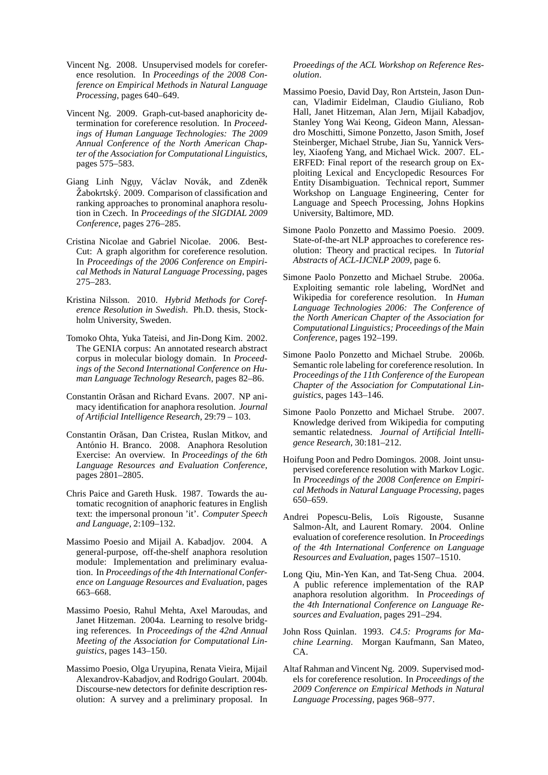- Vincent Ng. 2008. Unsupervised models for coreference resolution. In *Proceedings of the 2008 Conference on Empirical Methods in Natural Language Processing*, pages 640–649.
- Vincent Ng. 2009. Graph-cut-based anaphoricity determination for coreference resolution. In *Proceedings of Human Language Technologies: The 2009 Annual Conference of the North American Chapter of the Association for Computational Linguistics*, pages 575–583.
- Giang Linh Nguy, Václav Novák, and Zdeněk Żabokrtský. 2009. Comparison of classification and ranking approaches to pronominal anaphora resolution in Czech. In *Proceedings of the SIGDIAL 2009 Conference*, pages 276–285.
- Cristina Nicolae and Gabriel Nicolae. 2006. Best-Cut: A graph algorithm for coreference resolution. In *Proceedings of the 2006 Conference on Empirical Methods in Natural Language Processing*, pages 275–283.
- Kristina Nilsson. 2010. *Hybrid Methods for Coreference Resolution in Swedish*. Ph.D. thesis, Stockholm University, Sweden.
- Tomoko Ohta, Yuka Tateisi, and Jin-Dong Kim. 2002. The GENIA corpus: An annotated research abstract corpus in molecular biology domain. In *Proceedings of the Second International Conference on Human Language Technology Research*, pages 82–86.
- Constantin Orăsan and Richard Evans. 2007. NP animacy identification for anaphora resolution. *Journal of Artificial Intelligence Research*, 29:79 – 103.
- Constantin Orăsan, Dan Cristea, Ruslan Mitkov, and António H. Branco. 2008. Anaphora Resolution Exercise: An overview. In *Proceedings of the 6th Language Resources and Evaluation Conference*, pages 2801–2805.
- Chris Paice and Gareth Husk. 1987. Towards the automatic recognition of anaphoric features in English text: the impersonal pronoun 'it'. *Computer Speech and Language*, 2:109–132.
- Massimo Poesio and Mijail A. Kabadjov. 2004. A general-purpose, off-the-shelf anaphora resolution module: Implementation and preliminary evaluation. In *Proceedings of the 4th International Conference on Language Resources and Evaluation*, pages 663–668.
- Massimo Poesio, Rahul Mehta, Axel Maroudas, and Janet Hitzeman. 2004a. Learning to resolve bridging references. In *Proceedings of the 42nd Annual Meeting of the Association for Computational Linguistics*, pages 143–150.
- Massimo Poesio, Olga Uryupina, Renata Vieira, Mijail Alexandrov-Kabadjov, and Rodrigo Goulart. 2004b. Discourse-new detectors for definite description resolution: A survey and a preliminary proposal. In

*Proeedings of the ACL Workshop on Reference Resolution*.

- Massimo Poesio, David Day, Ron Artstein, Jason Duncan, Vladimir Eidelman, Claudio Giuliano, Rob Hall, Janet Hitzeman, Alan Jern, Mijail Kabadjov, Stanley Yong Wai Keong, Gideon Mann, Alessandro Moschitti, Simone Ponzetto, Jason Smith, Josef Steinberger, Michael Strube, Jian Su, Yannick Versley, Xiaofeng Yang, and Michael Wick. 2007. EL-ERFED: Final report of the research group on Exploiting Lexical and Encyclopedic Resources For Entity Disambiguation. Technical report, Summer Workshop on Language Engineering, Center for Language and Speech Processing, Johns Hopkins University, Baltimore, MD.
- Simone Paolo Ponzetto and Massimo Poesio. 2009. State-of-the-art NLP approaches to coreference resolution: Theory and practical recipes. In *Tutorial Abstracts of ACL-IJCNLP 2009*, page 6.
- Simone Paolo Ponzetto and Michael Strube. 2006a. Exploiting semantic role labeling, WordNet and Wikipedia for coreference resolution. In *Human Language Technologies 2006: The Conference of the North American Chapter of the Association for Computational Linguistics; Proceedings of the Main Conference*, pages 192–199.
- Simone Paolo Ponzetto and Michael Strube. 2006b. Semantic role labeling for coreference resolution. In *Proceedings of the 11th Conference of the European Chapter of the Association for Computational Linguistics*, pages 143–146.
- Simone Paolo Ponzetto and Michael Strube. 2007. Knowledge derived from Wikipedia for computing semantic relatedness. *Journal of Artificial Intelligence Research*, 30:181–212.
- Hoifung Poon and Pedro Domingos. 2008. Joint unsupervised coreference resolution with Markov Logic. In *Proceedings of the 2008 Conference on Empirical Methods in Natural Language Processing*, pages 650–659.
- Andrei Popescu-Belis, Loïs Rigouste, Susanne Salmon-Alt, and Laurent Romary. 2004. Online evaluation of coreference resolution. In *Proceedings of the 4th International Conference on Language Resources and Evaluation*, pages 1507–1510.
- Long Qiu, Min-Yen Kan, and Tat-Seng Chua. 2004. A public reference implementation of the RAP anaphora resolution algorithm. In *Proceedings of the 4th International Conference on Language Resources and Evaluation*, pages 291–294.
- John Ross Quinlan. 1993. *C4.5: Programs for Machine Learning*. Morgan Kaufmann, San Mateo, CA.
- Altaf Rahman and Vincent Ng. 2009. Supervised models for coreference resolution. In *Proceedings of the 2009 Conference on Empirical Methods in Natural Language Processing*, pages 968–977.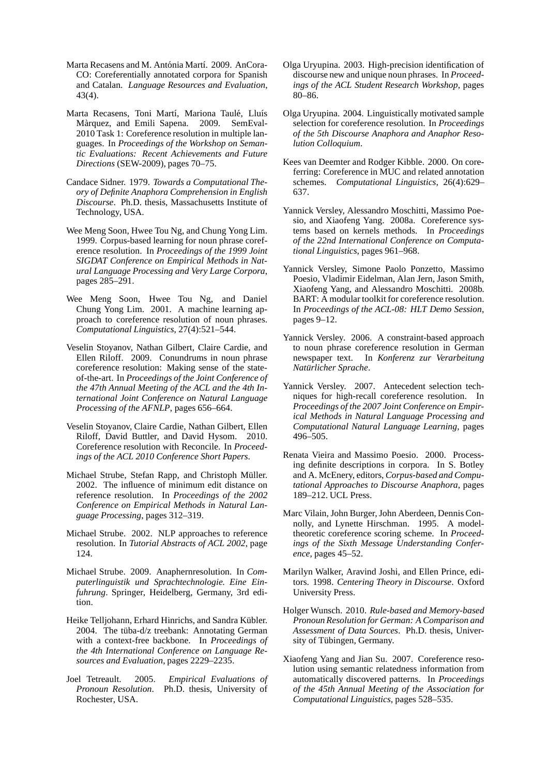- Marta Recasens and M. Antónia Martí. 2009. AnCora-CO: Coreferentially annotated corpora for Spanish and Catalan. *Language Resources and Evaluation*, 43(4).
- Marta Recasens, Toni Martí, Mariona Taulé, Lluís Màrquez, and Emili Sapena. 2009. SemEval-2010 Task 1: Coreference resolution in multiple languages. In *Proceedings of the Workshop on Semantic Evaluations: Recent Achievements and Future Directions* (SEW-2009), pages 70–75.
- Candace Sidner. 1979. *Towards a Computational Theory of Definite Anaphora Comprehension in English Discourse*. Ph.D. thesis, Massachusetts Institute of Technology, USA.
- Wee Meng Soon, Hwee Tou Ng, and Chung Yong Lim. 1999. Corpus-based learning for noun phrase coreference resolution. In *Proceedings of the 1999 Joint SIGDAT Conference on Empirical Methods in Natural Language Processing and Very Large Corpora*, pages 285–291.
- Wee Meng Soon, Hwee Tou Ng, and Daniel Chung Yong Lim. 2001. A machine learning approach to coreference resolution of noun phrases. *Computational Linguistics*, 27(4):521–544.
- Veselin Stoyanov, Nathan Gilbert, Claire Cardie, and Ellen Riloff. 2009. Conundrums in noun phrase coreference resolution: Making sense of the stateof-the-art. In *Proceedings of the Joint Conference of the 47th Annual Meeting of the ACL and the 4th International Joint Conference on Natural Language Processing of the AFNLP*, pages 656–664.
- Veselin Stoyanov, Claire Cardie, Nathan Gilbert, Ellen Riloff, David Buttler, and David Hysom. 2010. Coreference resolution with Reconcile. In *Proceedings of the ACL 2010 Conference Short Papers*.
- Michael Strube, Stefan Rapp, and Christoph Müller. 2002. The influence of minimum edit distance on reference resolution. In *Proceedings of the 2002 Conference on Empirical Methods in Natural Language Processing*, pages 312–319.
- Michael Strube. 2002. NLP approaches to reference resolution. In *Tutorial Abstracts of ACL 2002*, page 124.
- Michael Strube. 2009. Anaphernresolution. In *Computerlinguistik und Sprachtechnologie. Eine Einfuhrung*. Springer, Heidelberg, Germany, 3rd edition.
- Heike Telljohann, Erhard Hinrichs, and Sandra Kübler. 2004. The tüba-d/z treebank: Annotating German with a context-free backbone. In *Proceedings of the 4th International Conference on Language Resources and Evaluation*, pages 2229–2235.
- Joel Tetreault. 2005. *Empirical Evaluations of Pronoun Resolution*. Ph.D. thesis, University of Rochester, USA.
- Olga Uryupina. 2003. High-precision identification of discourse new and unique noun phrases. In *Proceedings of the ACL Student Research Workshop*, pages 80–86.
- Olga Uryupina. 2004. Linguistically motivated sample selection for coreference resolution. In *Proceedings of the 5th Discourse Anaphora and Anaphor Resolution Colloquium*.
- Kees van Deemter and Rodger Kibble. 2000. On coreferring: Coreference in MUC and related annotation schemes. *Computational Linguistics*, 26(4):629– 637.
- Yannick Versley, Alessandro Moschitti, Massimo Poesio, and Xiaofeng Yang. 2008a. Coreference systems based on kernels methods. In *Proceedings of the 22nd International Conference on Computational Linguistics*, pages 961–968.
- Yannick Versley, Simone Paolo Ponzetto, Massimo Poesio, Vladimir Eidelman, Alan Jern, Jason Smith, Xiaofeng Yang, and Alessandro Moschitti. 2008b. BART: A modular toolkit for coreference resolution. In *Proceedings of the ACL-08: HLT Demo Session*, pages 9–12.
- Yannick Versley. 2006. A constraint-based approach to noun phrase coreference resolution in German newspaper text. In *Konferenz zur Verarbeitung Naturlicher Sprache ¨* .
- Yannick Versley. 2007. Antecedent selection techniques for high-recall coreference resolution. In *Proceedings of the 2007 Joint Conference on Empirical Methods in Natural Language Processing and Computational Natural Language Learning*, pages 496–505.
- Renata Vieira and Massimo Poesio. 2000. Processing definite descriptions in corpora. In S. Botley and A. McEnery, editors, *Corpus-based and Computational Approaches to Discourse Anaphora*, pages 189–212. UCL Press.
- Marc Vilain, John Burger, John Aberdeen, Dennis Connolly, and Lynette Hirschman. 1995. A modeltheoretic coreference scoring scheme. In *Proceedings of the Sixth Message Understanding Conference*, pages 45–52.
- Marilyn Walker, Aravind Joshi, and Ellen Prince, editors. 1998. *Centering Theory in Discourse*. Oxford University Press.
- Holger Wunsch. 2010. *Rule-based and Memory-based Pronoun Resolution for German: A Comparison and Assessment of Data Sources*. Ph.D. thesis, University of Tübingen, Germany.
- Xiaofeng Yang and Jian Su. 2007. Coreference resolution using semantic relatedness information from automatically discovered patterns. In *Proceedings of the 45th Annual Meeting of the Association for Computational Linguistics*, pages 528–535.